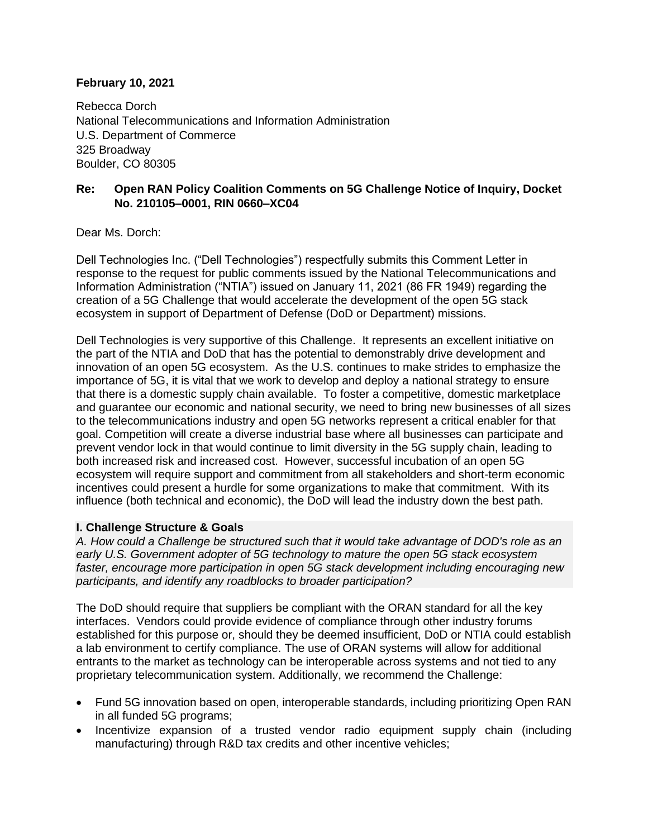# **February 10, 2021**

Rebecca Dorch National Telecommunications and Information Administration U.S. Department of Commerce 325 Broadway Boulder, CO 80305

# **Re: Open RAN Policy Coalition Comments on 5G Challenge Notice of Inquiry, Docket No. 210105–0001, RIN 0660–XC04**

Dear Ms. Dorch:

Dell Technologies Inc. ("Dell Technologies") respectfully submits this Comment Letter in response to the request for public comments issued by the National Telecommunications and Information Administration ("NTIA") issued on January 11, 2021 (86 FR 1949) regarding the creation of a 5G Challenge that would accelerate the development of the open 5G stack ecosystem in support of Department of Defense (DoD or Department) missions.

Dell Technologies is very supportive of this Challenge. It represents an excellent initiative on the part of the NTIA and DoD that has the potential to demonstrably drive development and innovation of an open 5G ecosystem. As the U.S. continues to make strides to emphasize the importance of 5G, it is vital that we work to develop and deploy a national strategy to ensure that there is a domestic supply chain available. To foster a competitive, domestic marketplace and guarantee our economic and national security, we need to bring new businesses of all sizes to the telecommunications industry and open 5G networks represent a critical enabler for that goal. Competition will create a diverse industrial base where all businesses can participate and prevent vendor lock in that would continue to limit diversity in the 5G supply chain, leading to both increased risk and increased cost. However, successful incubation of an open 5G ecosystem will require support and commitment from all stakeholders and short-term economic incentives could present a hurdle for some organizations to make that commitment. With its influence (both technical and economic), the DoD will lead the industry down the best path.

### **I. Challenge Structure & Goals**

*A. How could a Challenge be structured such that it would take advantage of DOD's role as an early U.S. Government adopter of 5G technology to mature the open 5G stack ecosystem faster, encourage more participation in open 5G stack development including encouraging new participants, and identify any roadblocks to broader participation?*

The DoD should require that suppliers be compliant with the ORAN standard for all the key interfaces. Vendors could provide evidence of compliance through other industry forums established for this purpose or, should they be deemed insufficient, DoD or NTIA could establish a lab environment to certify compliance. The use of ORAN systems will allow for additional entrants to the market as technology can be interoperable across systems and not tied to any proprietary telecommunication system. Additionally, we recommend the Challenge:

- Fund 5G innovation based on open, interoperable standards, including prioritizing Open RAN in all funded 5G programs;
- Incentivize expansion of a trusted vendor radio equipment supply chain (including manufacturing) through R&D tax credits and other incentive vehicles;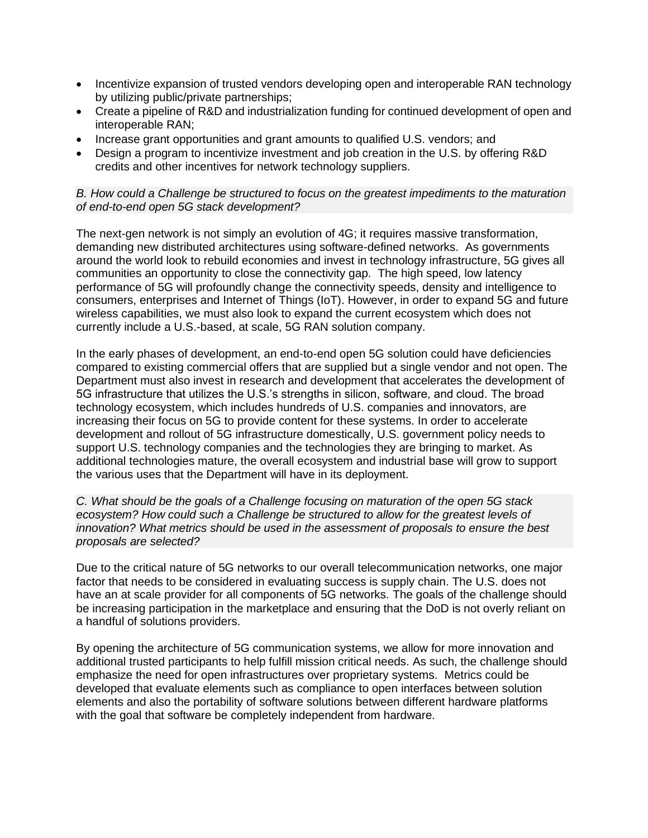- Incentivize expansion of trusted vendors developing open and interoperable RAN technology by utilizing public/private partnerships;
- Create a pipeline of R&D and industrialization funding for continued development of open and interoperable RAN;
- Increase grant opportunities and grant amounts to qualified U.S. vendors; and
- Design a program to incentivize investment and job creation in the U.S. by offering R&D credits and other incentives for network technology suppliers.

### *B. How could a Challenge be structured to focus on the greatest impediments to the maturation of end-to-end open 5G stack development?*

The next-gen network is not simply an evolution of 4G; it requires massive transformation, demanding new distributed architectures using software-defined networks. As governments around the world look to rebuild economies and invest in technology infrastructure, 5G gives all communities an opportunity to close the connectivity gap. The high speed, low latency performance of 5G will profoundly change the connectivity speeds, density and intelligence to consumers, enterprises and Internet of Things (IoT). However, in order to expand 5G and future wireless capabilities, we must also look to expand the current ecosystem which does not currently include a U.S.-based, at scale, 5G RAN solution company.

In the early phases of development, an end-to-end open 5G solution could have deficiencies compared to existing commercial offers that are supplied but a single vendor and not open. The Department must also invest in research and development that accelerates the development of 5G infrastructure that utilizes the U.S.'s strengths in silicon, software, and cloud. The broad technology ecosystem, which includes hundreds of U.S. companies and innovators, are increasing their focus on 5G to provide content for these systems. In order to accelerate development and rollout of 5G infrastructure domestically, U.S. government policy needs to support U.S. technology companies and the technologies they are bringing to market. As additional technologies mature, the overall ecosystem and industrial base will grow to support the various uses that the Department will have in its deployment.

*C. What should be the goals of a Challenge focusing on maturation of the open 5G stack ecosystem? How could such a Challenge be structured to allow for the greatest levels of innovation? What metrics should be used in the assessment of proposals to ensure the best proposals are selected?*

Due to the critical nature of 5G networks to our overall telecommunication networks, one major factor that needs to be considered in evaluating success is supply chain. The U.S. does not have an at scale provider for all components of 5G networks. The goals of the challenge should be increasing participation in the marketplace and ensuring that the DoD is not overly reliant on a handful of solutions providers.

By opening the architecture of 5G communication systems, we allow for more innovation and additional trusted participants to help fulfill mission critical needs. As such, the challenge should emphasize the need for open infrastructures over proprietary systems. Metrics could be developed that evaluate elements such as compliance to open interfaces between solution elements and also the portability of software solutions between different hardware platforms with the goal that software be completely independent from hardware.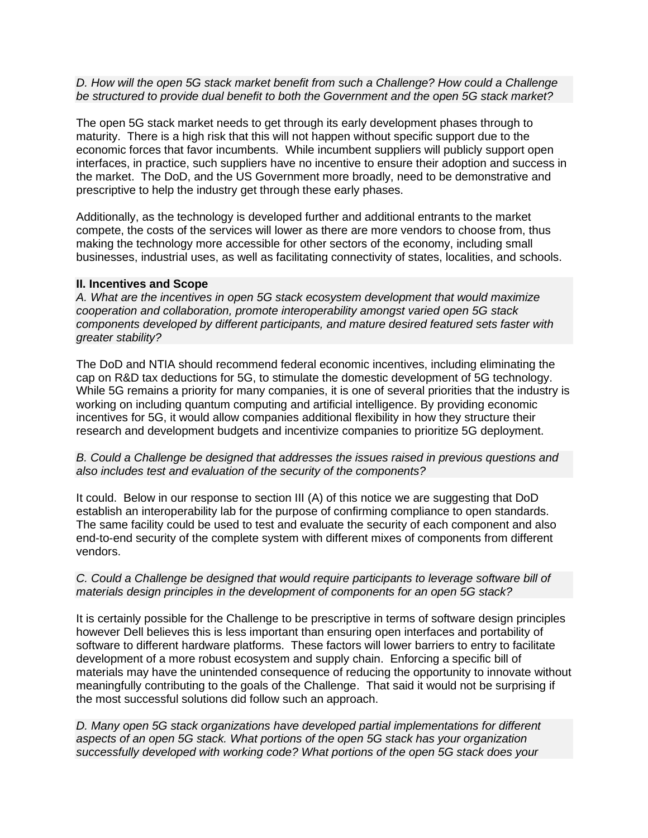### *D. How will the open 5G stack market benefit from such a Challenge? How could a Challenge be structured to provide dual benefit to both the Government and the open 5G stack market?*

The open 5G stack market needs to get through its early development phases through to maturity. There is a high risk that this will not happen without specific support due to the economic forces that favor incumbents. While incumbent suppliers will publicly support open interfaces, in practice, such suppliers have no incentive to ensure their adoption and success in the market. The DoD, and the US Government more broadly, need to be demonstrative and prescriptive to help the industry get through these early phases.

Additionally, as the technology is developed further and additional entrants to the market compete, the costs of the services will lower as there are more vendors to choose from, thus making the technology more accessible for other sectors of the economy, including small businesses, industrial uses, as well as facilitating connectivity of states, localities, and schools.

### **II. Incentives and Scope**

*A. What are the incentives in open 5G stack ecosystem development that would maximize cooperation and collaboration, promote interoperability amongst varied open 5G stack components developed by different participants, and mature desired featured sets faster with greater stability?*

The DoD and NTIA should recommend federal economic incentives, including eliminating the cap on R&D tax deductions for 5G, to stimulate the domestic development of 5G technology. While 5G remains a priority for many companies, it is one of several priorities that the industry is working on including quantum computing and artificial intelligence. By providing economic incentives for 5G, it would allow companies additional flexibility in how they structure their research and development budgets and incentivize companies to prioritize 5G deployment.

### *B. Could a Challenge be designed that addresses the issues raised in previous questions and also includes test and evaluation of the security of the components?*

It could. Below in our response to section III (A) of this notice we are suggesting that DoD establish an interoperability lab for the purpose of confirming compliance to open standards. The same facility could be used to test and evaluate the security of each component and also end-to-end security of the complete system with different mixes of components from different vendors.

### *C. Could a Challenge be designed that would require participants to leverage software bill of materials design principles in the development of components for an open 5G stack?*

It is certainly possible for the Challenge to be prescriptive in terms of software design principles however Dell believes this is less important than ensuring open interfaces and portability of software to different hardware platforms. These factors will lower barriers to entry to facilitate development of a more robust ecosystem and supply chain. Enforcing a specific bill of materials may have the unintended consequence of reducing the opportunity to innovate without meaningfully contributing to the goals of the Challenge. That said it would not be surprising if the most successful solutions did follow such an approach.

*D. Many open 5G stack organizations have developed partial implementations for different aspects of an open 5G stack. What portions of the open 5G stack has your organization successfully developed with working code? What portions of the open 5G stack does your*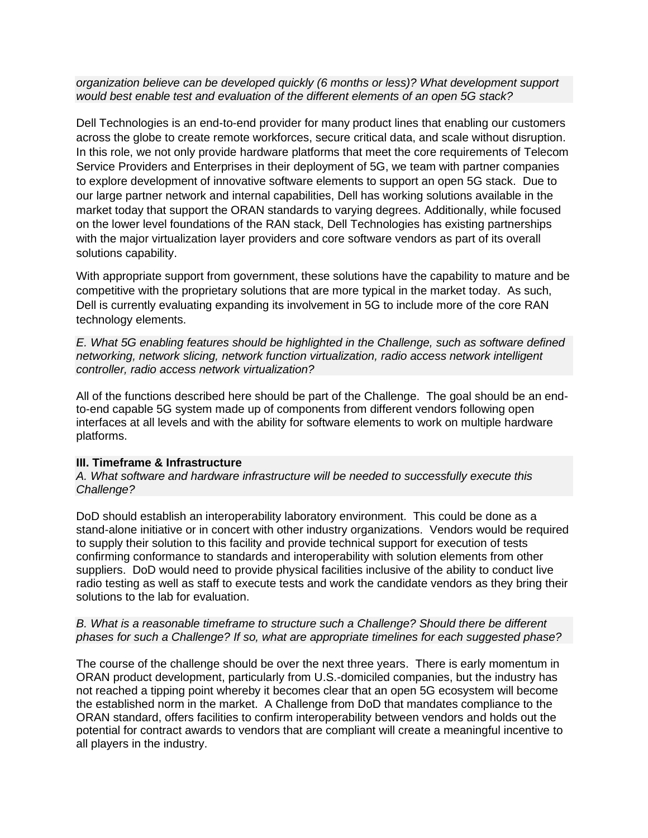*organization believe can be developed quickly (6 months or less)? What development support would best enable test and evaluation of the different elements of an open 5G stack?*

Dell Technologies is an end-to-end provider for many product lines that enabling our customers across the globe to create remote workforces, secure critical data, and scale without disruption. In this role, we not only provide hardware platforms that meet the core requirements of Telecom Service Providers and Enterprises in their deployment of 5G, we team with partner companies to explore development of innovative software elements to support an open 5G stack. Due to our large partner network and internal capabilities, Dell has working solutions available in the market today that support the ORAN standards to varying degrees. Additionally, while focused on the lower level foundations of the RAN stack, Dell Technologies has existing partnerships with the major virtualization layer providers and core software vendors as part of its overall solutions capability.

With appropriate support from government, these solutions have the capability to mature and be competitive with the proprietary solutions that are more typical in the market today. As such, Dell is currently evaluating expanding its involvement in 5G to include more of the core RAN technology elements.

*E. What 5G enabling features should be highlighted in the Challenge, such as software defined networking, network slicing, network function virtualization, radio access network intelligent controller, radio access network virtualization?*

All of the functions described here should be part of the Challenge. The goal should be an endto-end capable 5G system made up of components from different vendors following open interfaces at all levels and with the ability for software elements to work on multiple hardware platforms.

### **III. Timeframe & Infrastructure**

*A. What software and hardware infrastructure will be needed to successfully execute this Challenge?*

DoD should establish an interoperability laboratory environment. This could be done as a stand-alone initiative or in concert with other industry organizations. Vendors would be required to supply their solution to this facility and provide technical support for execution of tests confirming conformance to standards and interoperability with solution elements from other suppliers. DoD would need to provide physical facilities inclusive of the ability to conduct live radio testing as well as staff to execute tests and work the candidate vendors as they bring their solutions to the lab for evaluation.

# *B. What is a reasonable timeframe to structure such a Challenge? Should there be different phases for such a Challenge? If so, what are appropriate timelines for each suggested phase?*

The course of the challenge should be over the next three years. There is early momentum in ORAN product development, particularly from U.S.-domiciled companies, but the industry has not reached a tipping point whereby it becomes clear that an open 5G ecosystem will become the established norm in the market. A Challenge from DoD that mandates compliance to the ORAN standard, offers facilities to confirm interoperability between vendors and holds out the potential for contract awards to vendors that are compliant will create a meaningful incentive to all players in the industry.